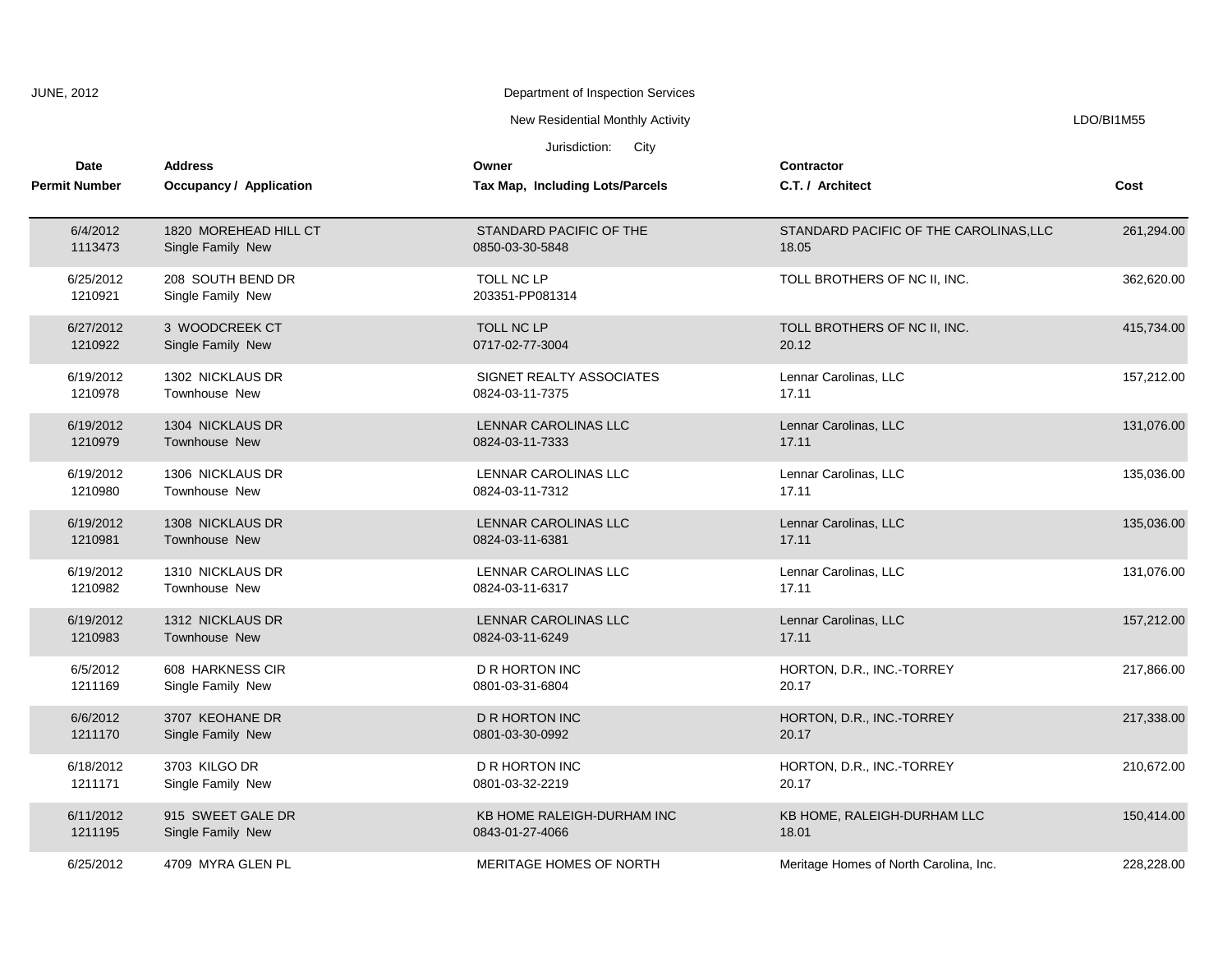| <b>JUNE, 2012</b>                   |                      |                                                  | Department of Inspection Services                                 |                                                 |            |
|-------------------------------------|----------------------|--------------------------------------------------|-------------------------------------------------------------------|-------------------------------------------------|------------|
|                                     |                      |                                                  | New Residential Monthly Activity                                  |                                                 | LDO/BI1M55 |
| <b>Date</b><br><b>Permit Number</b> |                      | <b>Address</b><br><b>Occupancy / Application</b> | Jurisdiction:<br>City<br>Owner<br>Tax Map, Including Lots/Parcels | Contractor<br>C.T. / Architect                  | Cost       |
|                                     | 6/4/2012<br>1113473  | 1820 MOREHEAD HILL CT<br>Single Family New       | STANDARD PACIFIC OF THE<br>0850-03-30-5848                        | STANDARD PACIFIC OF THE CAROLINAS, LLC<br>18.05 | 261,294.00 |
|                                     | 6/25/2012<br>1210921 | 208 SOUTH BEND DR<br>Single Family New           | TOLL NC LP<br>203351-PP081314                                     | TOLL BROTHERS OF NC II, INC.                    | 362,620.00 |
|                                     | 6/27/2012<br>1210922 | 3 WOODCREEK CT<br>Single Family New              | TOLL NC LP<br>0717-02-77-3004                                     | TOLL BROTHERS OF NC II, INC.<br>20.12           | 415,734.00 |
|                                     | 6/19/2012<br>1210978 | 1302 NICKLAUS DR<br>Townhouse New                | SIGNET REALTY ASSOCIATES<br>0824-03-11-7375                       | Lennar Carolinas, LLC<br>17.11                  | 157,212.00 |
|                                     | 6/19/2012<br>1210979 | 1304 NICKLAUS DR<br>Townhouse New                | LENNAR CAROLINAS LLC<br>0824-03-11-7333                           | Lennar Carolinas, LLC<br>17.11                  | 131,076.00 |
|                                     | 6/19/2012<br>1210980 | 1306 NICKLAUS DR<br>Townhouse New                | LENNAR CAROLINAS LLC<br>0824-03-11-7312                           | Lennar Carolinas, LLC<br>17.11                  | 135,036.00 |
|                                     | 6/19/2012<br>1210981 | 1308 NICKLAUS DR<br><b>Townhouse New</b>         | LENNAR CAROLINAS LLC<br>0824-03-11-6381                           | Lennar Carolinas, LLC<br>17.11                  | 135,036.00 |
|                                     | 6/19/2012<br>1210982 | 1310 NICKLAUS DR<br>Townhouse New                | LENNAR CAROLINAS LLC<br>0824-03-11-6317                           | Lennar Carolinas, LLC<br>17.11                  | 131,076.00 |
|                                     | 6/19/2012<br>1210983 | 1312 NICKLAUS DR<br>Townhouse New                | LENNAR CAROLINAS LLC<br>0824-03-11-6249                           | Lennar Carolinas, LLC<br>17.11                  | 157,212.00 |
|                                     | 6/5/2012<br>1211169  | 608 HARKNESS CIR<br>Single Family New            | <b>D R HORTON INC</b><br>0801-03-31-6804                          | HORTON, D.R., INC.-TORREY<br>20.17              | 217,866.00 |
|                                     | 6/6/2012<br>1211170  | 3707 KEOHANE DR<br>Single Family New             | <b>D R HORTON INC</b><br>0801-03-30-0992                          | HORTON, D.R., INC.-TORREY<br>20.17              | 217,338.00 |
|                                     | 6/18/2012<br>1211171 | 3703 KILGO DR<br>Single Family New               | D R HORTON INC<br>0801-03-32-2219                                 | HORTON, D.R., INC.-TORREY<br>20.17              | 210,672.00 |
|                                     | 6/11/2012<br>1211195 | 915 SWEET GALE DR<br>Single Family New           | KB HOME RALEIGH-DURHAM INC<br>0843-01-27-4066                     | KB HOME, RALEIGH-DURHAM LLC<br>18.01            | 150,414.00 |
|                                     | 6/25/2012            | 4709 MYRA GLEN PL                                | MERITAGE HOMES OF NORTH                                           | Meritage Homes of North Carolina, Inc.          | 228,228.00 |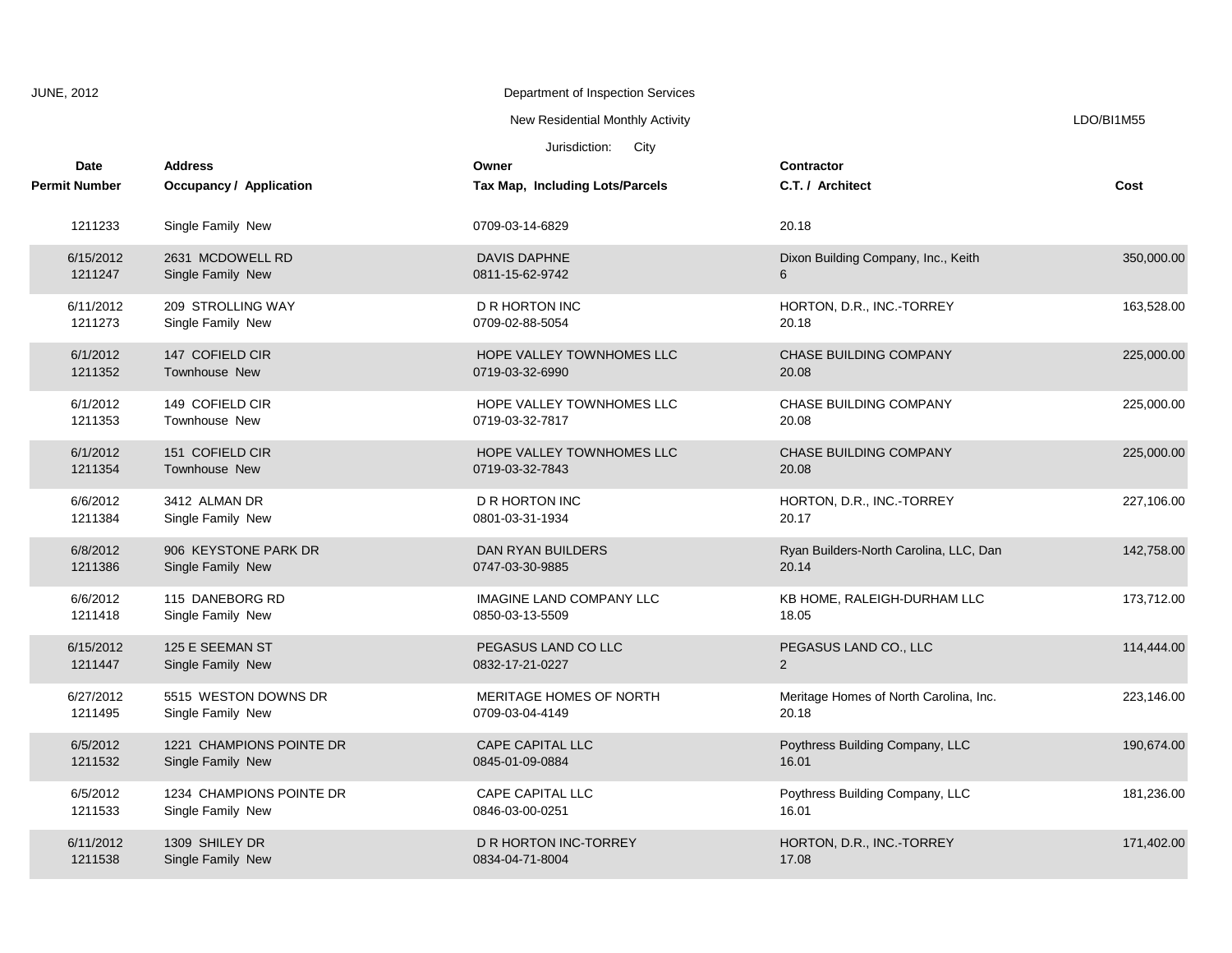| <b>JUNE, 2012</b> |                                     |                                               | Department of Inspection Services                  |                                                 |            |
|-------------------|-------------------------------------|-----------------------------------------------|----------------------------------------------------|-------------------------------------------------|------------|
|                   |                                     |                                               | New Residential Monthly Activity                   |                                                 | LDO/BI1M55 |
|                   |                                     |                                               | Jurisdiction:<br>City                              |                                                 |            |
|                   | <b>Date</b><br><b>Permit Number</b> | <b>Address</b><br>Occupancy / Application     | Owner<br>Tax Map, Including Lots/Parcels           | Contractor<br>C.T. / Architect                  | Cost       |
|                   | 1211233                             | Single Family New                             | 0709-03-14-6829                                    | 20.18                                           |            |
|                   | 6/15/2012<br>1211247                | 2631 MCDOWELL RD<br>Single Family New         | <b>DAVIS DAPHNE</b><br>0811-15-62-9742             | Dixon Building Company, Inc., Keith<br>6        | 350,000.00 |
|                   | 6/11/2012<br>1211273                | 209 STROLLING WAY<br>Single Family New        | <b>D R HORTON INC</b><br>0709-02-88-5054           | HORTON, D.R., INC.-TORREY<br>20.18              | 163,528.00 |
|                   | 6/1/2012<br>1211352                 | 147 COFIELD CIR<br>Townhouse New              | HOPE VALLEY TOWNHOMES LLC<br>0719-03-32-6990       | <b>CHASE BUILDING COMPANY</b><br>20.08          | 225,000.00 |
|                   | 6/1/2012<br>1211353                 | 149 COFIELD CIR<br>Townhouse New              | HOPE VALLEY TOWNHOMES LLC<br>0719-03-32-7817       | CHASE BUILDING COMPANY<br>20.08                 | 225,000.00 |
|                   | 6/1/2012<br>1211354                 | 151 COFIELD CIR<br>Townhouse New              | HOPE VALLEY TOWNHOMES LLC<br>0719-03-32-7843       | <b>CHASE BUILDING COMPANY</b><br>20.08          | 225,000.00 |
|                   | 6/6/2012<br>1211384                 | 3412 ALMAN DR<br>Single Family New            | <b>D R HORTON INC</b><br>0801-03-31-1934           | HORTON, D.R., INC.-TORREY<br>20.17              | 227,106.00 |
|                   | 6/8/2012<br>1211386                 | 906 KEYSTONE PARK DR<br>Single Family New     | DAN RYAN BUILDERS<br>0747-03-30-9885               | Ryan Builders-North Carolina, LLC, Dan<br>20.14 | 142,758.00 |
|                   | 6/6/2012<br>1211418                 | 115 DANEBORG RD<br>Single Family New          | <b>IMAGINE LAND COMPANY LLC</b><br>0850-03-13-5509 | KB HOME, RALEIGH-DURHAM LLC<br>18.05            | 173,712.00 |
|                   | 6/15/2012<br>1211447                | 125 E SEEMAN ST<br>Single Family New          | PEGASUS LAND CO LLC<br>0832-17-21-0227             | PEGASUS LAND CO., LLC<br>2                      | 114,444.00 |
|                   | 6/27/2012<br>1211495                | 5515 WESTON DOWNS DR<br>Single Family New     | MERITAGE HOMES OF NORTH<br>0709-03-04-4149         | Meritage Homes of North Carolina, Inc.<br>20.18 | 223,146.00 |
|                   | 6/5/2012<br>1211532                 | 1221 CHAMPIONS POINTE DR<br>Single Family New | <b>CAPE CAPITAL LLC</b><br>0845-01-09-0884         | Poythress Building Company, LLC<br>16.01        | 190,674.00 |
|                   | 6/5/2012<br>1211533                 | 1234 CHAMPIONS POINTE DR<br>Single Family New | <b>CAPE CAPITAL LLC</b><br>0846-03-00-0251         | Poythress Building Company, LLC<br>16.01        | 181,236.00 |
|                   | 6/11/2012<br>1211538                | 1309 SHILEY DR<br>Single Family New           | D R HORTON INC-TORREY<br>0834-04-71-8004           | HORTON, D.R., INC.-TORREY<br>17.08              | 171,402.00 |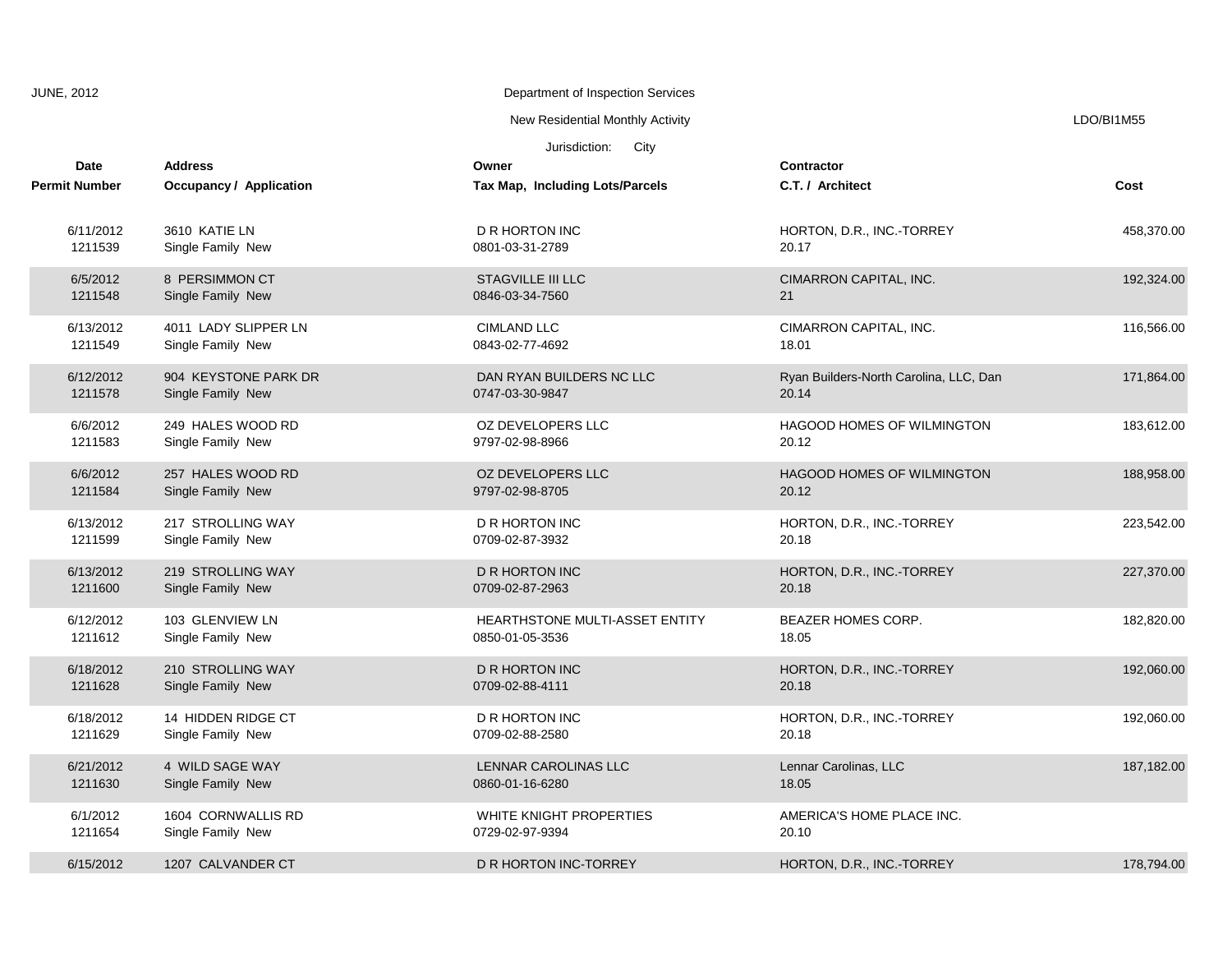| <b>JUNE, 2012</b>    |                                | Department of Inspection Services |                                        |            |
|----------------------|--------------------------------|-----------------------------------|----------------------------------------|------------|
|                      |                                | New Residential Monthly Activity  |                                        | LDO/BI1M55 |
|                      |                                | Jurisdiction:<br>City             |                                        |            |
| <b>Date</b>          | <b>Address</b>                 | Owner                             | <b>Contractor</b>                      |            |
| <b>Permit Number</b> | <b>Occupancy / Application</b> | Tax Map, Including Lots/Parcels   | C.T. / Architect                       | Cost       |
| 6/11/2012            | 3610 KATIE LN                  | <b>D R HORTON INC</b>             | HORTON, D.R., INC.-TORREY              | 458,370.00 |
| 1211539              | Single Family New              | 0801-03-31-2789                   | 20.17                                  |            |
| 6/5/2012             | 8 PERSIMMON CT                 | <b>STAGVILLE III LLC</b>          | CIMARRON CAPITAL, INC.                 | 192,324.00 |
| 1211548              | Single Family New              | 0846-03-34-7560                   | 21                                     |            |
| 6/13/2012            | 4011 LADY SLIPPER LN           | <b>CIMLAND LLC</b>                | CIMARRON CAPITAL, INC.                 | 116,566.00 |
| 1211549              | Single Family New              | 0843-02-77-4692                   | 18.01                                  |            |
| 6/12/2012            | 904 KEYSTONE PARK DR           | DAN RYAN BUILDERS NC LLC          | Ryan Builders-North Carolina, LLC, Dan | 171,864.00 |
| 1211578              | Single Family New              | 0747-03-30-9847                   | 20.14                                  |            |
| 6/6/2012             | 249 HALES WOOD RD              | OZ DEVELOPERS LLC                 | HAGOOD HOMES OF WILMINGTON             | 183,612.00 |
| 1211583              | Single Family New              | 9797-02-98-8966                   | 20.12                                  |            |
| 6/6/2012             | 257 HALES WOOD RD              | OZ DEVELOPERS LLC                 | <b>HAGOOD HOMES OF WILMINGTON</b>      | 188,958.00 |
| 1211584              | Single Family New              | 9797-02-98-8705                   | 20.12                                  |            |
| 6/13/2012            | 217 STROLLING WAY              | <b>D R HORTON INC</b>             | HORTON, D.R., INC.-TORREY              | 223,542.00 |
| 1211599              | Single Family New              | 0709-02-87-3932                   | 20.18                                  |            |
| 6/13/2012            | 219 STROLLING WAY              | <b>D R HORTON INC</b>             | HORTON, D.R., INC.-TORREY              | 227,370.00 |
| 1211600              | Single Family New              | 0709-02-87-2963                   | 20.18                                  |            |
| 6/12/2012            | 103 GLENVIEW LN                | HEARTHSTONE MULTI-ASSET ENTITY    | BEAZER HOMES CORP.                     | 182,820.00 |
| 1211612              | Single Family New              | 0850-01-05-3536                   | 18.05                                  |            |
| 6/18/2012            | 210 STROLLING WAY              | <b>D R HORTON INC</b>             | HORTON, D.R., INC.-TORREY              | 192,060.00 |
| 1211628              | Single Family New              | 0709-02-88-4111                   | 20.18                                  |            |
| 6/18/2012            | 14 HIDDEN RIDGE CT             | D R HORTON INC                    | HORTON, D.R., INC.-TORREY              | 192,060.00 |
| 1211629              | Single Family New              | 0709-02-88-2580                   | 20.18                                  |            |
| 6/21/2012            | 4 WILD SAGE WAY                | LENNAR CAROLINAS LLC              | Lennar Carolinas, LLC                  | 187,182.00 |
| 1211630              | Single Family New              | 0860-01-16-6280                   | 18.05                                  |            |
| 6/1/2012             | 1604 CORNWALLIS RD             | WHITE KNIGHT PROPERTIES           | AMERICA'S HOME PLACE INC.              |            |
| 1211654              | Single Family New              | 0729-02-97-9394                   | 20.10                                  |            |
| 6/15/2012            | 1207 CALVANDER CT              | D R HORTON INC-TORREY             | HORTON, D.R., INC.-TORREY              | 178,794.00 |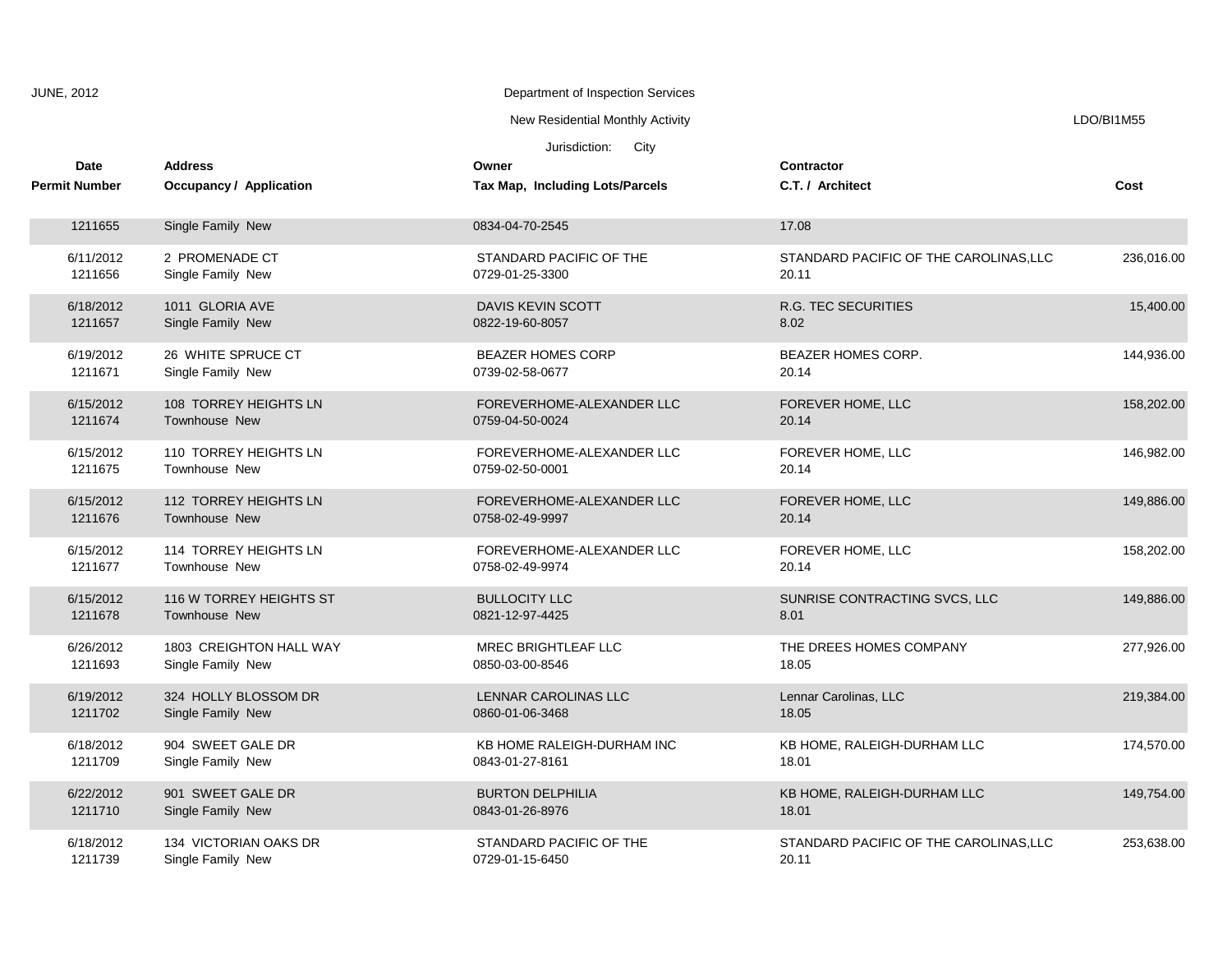| <b>JUNE, 2012</b> |                                     |                                                  | Department of Inspection Services             |                                                 |            |
|-------------------|-------------------------------------|--------------------------------------------------|-----------------------------------------------|-------------------------------------------------|------------|
|                   |                                     |                                                  | New Residential Monthly Activity              |                                                 | LDO/BI1M55 |
|                   |                                     |                                                  | Jurisdiction:<br>City                         |                                                 |            |
|                   | <b>Date</b><br><b>Permit Number</b> | <b>Address</b><br><b>Occupancy / Application</b> | Owner<br>Tax Map, Including Lots/Parcels      | <b>Contractor</b><br>C.T. / Architect           | Cost       |
|                   | 1211655                             | Single Family New                                | 0834-04-70-2545                               | 17.08                                           |            |
|                   | 6/11/2012<br>1211656                | 2 PROMENADE CT<br>Single Family New              | STANDARD PACIFIC OF THE<br>0729-01-25-3300    | STANDARD PACIFIC OF THE CAROLINAS, LLC<br>20.11 | 236,016.00 |
|                   | 6/18/2012<br>1211657                | 1011 GLORIA AVE<br>Single Family New             | <b>DAVIS KEVIN SCOTT</b><br>0822-19-60-8057   | <b>R.G. TEC SECURITIES</b><br>8.02              | 15,400.00  |
|                   | 6/19/2012<br>1211671                | 26 WHITE SPRUCE CT<br>Single Family New          | <b>BEAZER HOMES CORP</b><br>0739-02-58-0677   | BEAZER HOMES CORP.<br>20.14                     | 144,936.00 |
|                   | 6/15/2012<br>1211674                | 108 TORREY HEIGHTS LN<br><b>Townhouse New</b>    | FOREVERHOME-ALEXANDER LLC<br>0759-04-50-0024  | FOREVER HOME, LLC<br>20.14                      | 158,202.00 |
|                   | 6/15/2012<br>1211675                | 110 TORREY HEIGHTS LN<br>Townhouse New           | FOREVERHOME-ALEXANDER LLC<br>0759-02-50-0001  | FOREVER HOME, LLC<br>20.14                      | 146,982.00 |
|                   | 6/15/2012<br>1211676                | 112 TORREY HEIGHTS LN<br>Townhouse New           | FOREVERHOME-ALEXANDER LLC<br>0758-02-49-9997  | FOREVER HOME, LLC<br>20.14                      | 149,886.00 |
|                   | 6/15/2012<br>1211677                | 114 TORREY HEIGHTS LN<br>Townhouse New           | FOREVERHOME-ALEXANDER LLC<br>0758-02-49-9974  | FOREVER HOME, LLC<br>20.14                      | 158,202.00 |
|                   | 6/15/2012<br>1211678                | 116 W TORREY HEIGHTS ST<br>Townhouse New         | <b>BULLOCITY LLC</b><br>0821-12-97-4425       | SUNRISE CONTRACTING SVCS, LLC<br>8.01           | 149,886.00 |
|                   | 6/26/2012<br>1211693                | 1803 CREIGHTON HALL WAY<br>Single Family New     | MREC BRIGHTLEAF LLC<br>0850-03-00-8546        | THE DREES HOMES COMPANY<br>18.05                | 277,926.00 |
|                   | 6/19/2012<br>1211702                | 324 HOLLY BLOSSOM DR<br>Single Family New        | LENNAR CAROLINAS LLC<br>0860-01-06-3468       | Lennar Carolinas, LLC<br>18.05                  | 219,384.00 |
|                   | 6/18/2012<br>1211709                | 904 SWEET GALE DR<br>Single Family New           | KB HOME RALEIGH-DURHAM INC<br>0843-01-27-8161 | KB HOME, RALEIGH-DURHAM LLC<br>18.01            | 174,570.00 |
|                   | 6/22/2012<br>1211710                | 901 SWEET GALE DR<br>Single Family New           | <b>BURTON DELPHILIA</b><br>0843-01-26-8976    | KB HOME, RALEIGH-DURHAM LLC<br>18.01            | 149,754.00 |
|                   | 6/18/2012<br>1211739                | 134 VICTORIAN OAKS DR<br>Single Family New       | STANDARD PACIFIC OF THE<br>0729-01-15-6450    | STANDARD PACIFIC OF THE CAROLINAS, LLC<br>20.11 | 253,638.00 |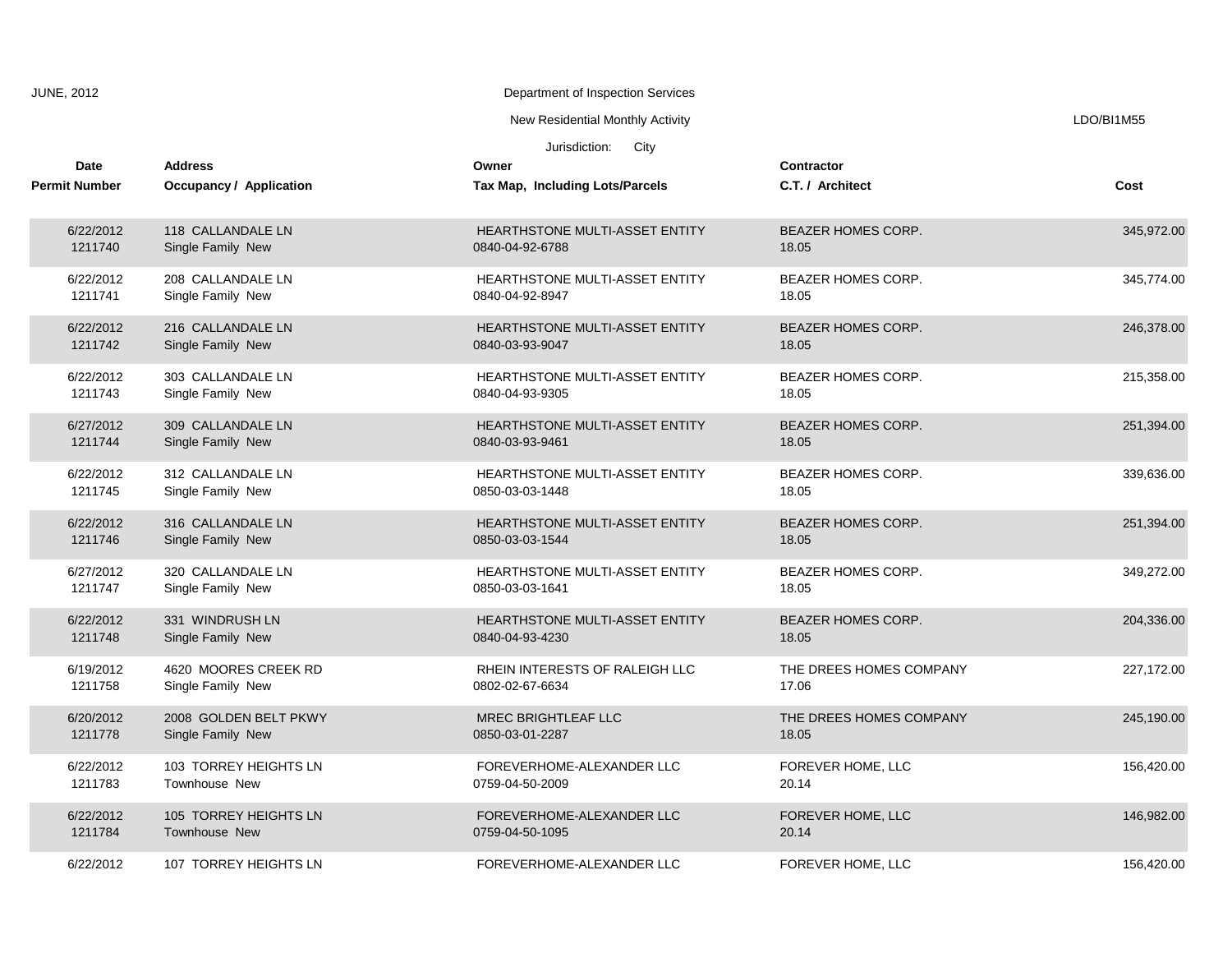| <b>JUNE, 2012</b>    | Department of Inspection Services |                                       |                           |            |
|----------------------|-----------------------------------|---------------------------------------|---------------------------|------------|
|                      |                                   | New Residential Monthly Activity      |                           | LDO/BI1M55 |
|                      |                                   | Jurisdiction: City                    |                           |            |
| Date                 | <b>Address</b>                    | Owner                                 | Contractor                |            |
| <b>Permit Number</b> | Occupancy / Application           | Tax Map, Including Lots/Parcels       | C.T. / Architect          | Cost       |
| 6/22/2012            | 118 CALLANDALE LN                 | HEARTHSTONE MULTI-ASSET ENTITY        | <b>BEAZER HOMES CORP.</b> | 345,972.00 |
| 1211740              | Single Family New                 | 0840-04-92-6788                       | 18.05                     |            |
| 6/22/2012            | 208 CALLANDALE LN                 | HEARTHSTONE MULTI-ASSET ENTITY        | BEAZER HOMES CORP.        | 345,774.00 |
| 1211741              | Single Family New                 | 0840-04-92-8947                       | 18.05                     |            |
| 6/22/2012            | 216 CALLANDALE LN                 | HEARTHSTONE MULTI-ASSET ENTITY        | BEAZER HOMES CORP.        | 246,378.00 |
| 1211742              | Single Family New                 | 0840-03-93-9047                       | 18.05                     |            |
| 6/22/2012            | 303 CALLANDALE LN                 | HEARTHSTONE MULTI-ASSET ENTITY        | BEAZER HOMES CORP.        | 215,358.00 |
| 1211743              | Single Family New                 | 0840-04-93-9305                       | 18.05                     |            |
| 6/27/2012            | 309 CALLANDALE LN                 | HEARTHSTONE MULTI-ASSET ENTITY        | BEAZER HOMES CORP.        | 251,394.00 |
| 1211744              | Single Family New                 | 0840-03-93-9461                       | 18.05                     |            |
| 6/22/2012            | 312 CALLANDALE LN                 | HEARTHSTONE MULTI-ASSET ENTITY        | BEAZER HOMES CORP.        | 339,636.00 |
| 1211745              | Single Family New                 | 0850-03-03-1448                       | 18.05                     |            |
| 6/22/2012            | 316 CALLANDALE LN                 | <b>HEARTHSTONE MULTI-ASSET ENTITY</b> | <b>BEAZER HOMES CORP.</b> | 251,394.00 |
| 1211746              | Single Family New                 | 0850-03-03-1544                       | 18.05                     |            |
| 6/27/2012            | 320 CALLANDALE LN                 | HEARTHSTONE MULTI-ASSET ENTITY        | BEAZER HOMES CORP.        | 349,272.00 |
| 1211747              | Single Family New                 | 0850-03-03-1641                       | 18.05                     |            |
| 6/22/2012            | 331 WINDRUSH LN                   | HEARTHSTONE MULTI-ASSET ENTITY        | BEAZER HOMES CORP.        | 204,336.00 |
| 1211748              | Single Family New                 | 0840-04-93-4230                       | 18.05                     |            |
| 6/19/2012            | 4620 MOORES CREEK RD              | RHEIN INTERESTS OF RALEIGH LLC        | THE DREES HOMES COMPANY   | 227,172.00 |
| 1211758              | Single Family New                 | 0802-02-67-6634                       | 17.06                     |            |
| 6/20/2012            | 2008 GOLDEN BELT PKWY             | <b>MREC BRIGHTLEAF LLC</b>            | THE DREES HOMES COMPANY   | 245,190.00 |
| 1211778              | Single Family New                 | 0850-03-01-2287                       | 18.05                     |            |
| 6/22/2012            | 103 TORREY HEIGHTS LN             | FOREVERHOME-ALEXANDER LLC             | FOREVER HOME, LLC         | 156,420.00 |
| 1211783              | <b>Townhouse New</b>              | 0759-04-50-2009                       | 20.14                     |            |
| 6/22/2012            | 105 TORREY HEIGHTS LN             | FOREVERHOME-ALEXANDER LLC             | FOREVER HOME, LLC         | 146,982.00 |
| 1211784              | Townhouse New                     | 0759-04-50-1095                       | 20.14                     |            |
| 6/22/2012            | 107 TORREY HEIGHTS LN             | FOREVERHOME-ALEXANDER LLC             | FOREVER HOME, LLC         | 156,420.00 |